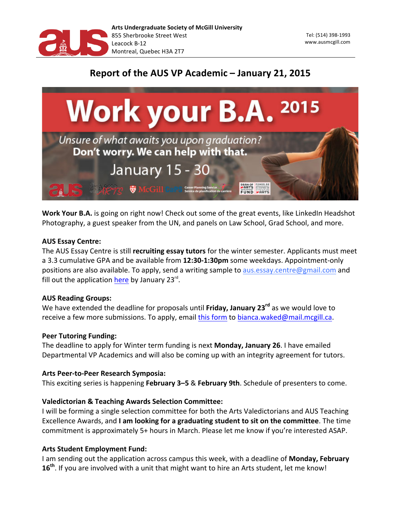

## Report of the AUS VP Academic - January 21, 2015



Work Your B.A. is going on right now! Check out some of the great events, like LinkedIn Headshot Photography, a guest speaker from the UN, and panels on Law School, Grad School, and more.

## **AUS Essay Centre:**

The AUS Essay Centre is still **recruiting essay tutors** for the winter semester. Applicants must meet a 3.3 cumulative GPA and be available from **12:30-1:30pm** some weekdays. Appointment-only positions are also available. To apply, send a writing sample to aus.essay.centre@gmail.com and fill out the application here by January  $23^{rd}$ .

## **AUS Reading Groups:**

We have extended the deadline for proposals until Friday, January 23<sup>rd</sup> as we would love to receive a few more submissions. To apply, email this form to bianca.waked@mail.mcgill.ca.

## **Peer Tutoring Funding:**

The deadline to apply for Winter term funding is next **Monday, January 26**. I have emailed Departmental VP Academics and will also be coming up with an integrity agreement for tutors.

## Arts Peer-to-Peer Research Symposia:

This exciting series is happening **February 3–5** & **February 9th**. Schedule of presenters to come.

## **Valedictorian & Teaching Awards Selection Committee:**

I will be forming a single selection committee for both the Arts Valedictorians and AUS Teaching Excellence Awards, and **I am looking for a graduating student to sit on the committee**. The time commitment is approximately 5+ hours in March. Please let me know if you're interested ASAP.

## **Arts Student Employment Fund:**

I am sending out the application across campus this week, with a deadline of Monday, February **16<sup>th</sup>**. If you are involved with a unit that might want to hire an Arts student, let me know!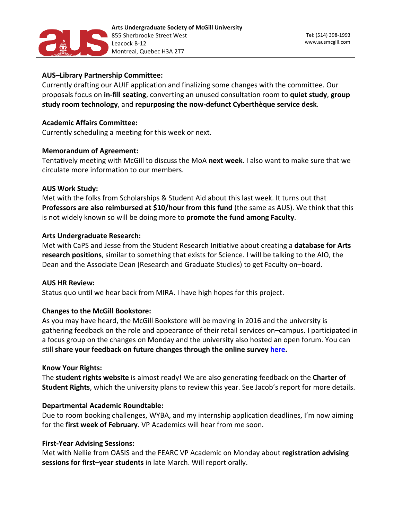

## **AUS-Library Partnership Committee:**

Currently drafting our AUIF application and finalizing some changes with the committee. Our proposals focus on in-fill seating, converting an unused consultation room to quiet study, group study room technology, and repurposing the now-defunct Cyberthèque service desk.

## **Academic Affairs Committee:**

Currently scheduling a meeting for this week or next.

## **Memorandum of Agreement:**

Tentatively meeting with McGill to discuss the MoA next week. I also want to make sure that we circulate more information to our members.

## **AUS Work Study:**

Met with the folks from Scholarships & Student Aid about this last week. It turns out that **Professors are also reimbursed at \$10/hour from this fund** (the same as AUS). We think that this is not widely known so will be doing more to **promote the fund among Faculty**.

## **Arts Undergraduate Research:**

Met with CaPS and Jesse from the Student Research Initiative about creating a database for Arts **research positions**, similar to something that exists for Science. I will be talking to the AIO, the Dean and the Associate Dean (Research and Graduate Studies) to get Faculty on-board.

## **AUS HR Review:**

Status quo until we hear back from MIRA. I have high hopes for this project.

## **Changes to the McGill Bookstore:**

As you may have heard, the McGill Bookstore will be moving in 2016 and the university is gathering feedback on the role and appearance of their retail services on–campus. I participated in a focus group on the changes on Monday and the university also hosted an open forum. You can still share your feedback on future changes through the online survey [here.](https://surveys.mcgill.ca/limesurvey/index.php?sid=76959&lang=en)

## **Know Your Rights:**

The **student rights website** is almost ready! We are also generating feedback on the **Charter of Student Rights**, which the university plans to review this year. See Jacob's report for more details.

## **Departmental Academic Roundtable:**

Due to room booking challenges, WYBA, and my internship application deadlines, I'm now aiming for the first week of February. VP Academics will hear from me soon.

## **First-Year Advising Sessions:**

Met with Nellie from OASIS and the FEARC VP Academic on Monday about registration advising sessions for first-year students in late March. Will report orally.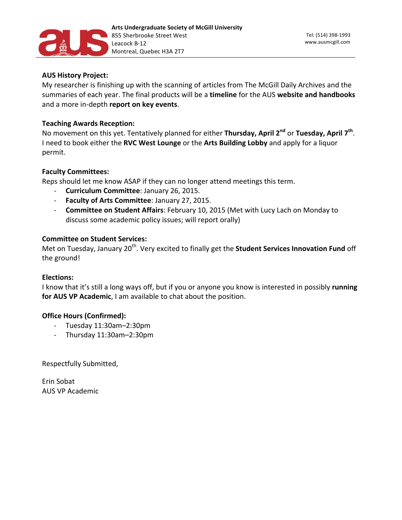

## **AUS History Project:**

My researcher is finishing up with the scanning of articles from The McGill Daily Archives and the summaries of each year. The final products will be a timeline for the AUS website and handbooks and a more in-depth report on key events.

## **Teaching Awards Reception:**

No movement on this yet. Tentatively planned for either Thursday, April 2<sup>nd</sup> or Tuesday, April 7<sup>th</sup>. I need to book either the RVC West Lounge or the Arts Building Lobby and apply for a liquor permit.

## **Faculty 
Committees:**

Reps should let me know ASAP if they can no longer attend meetings this term.

- **Curriculum Committee**: January 26, 2015.
- Faculty of Arts Committee: January 27, 2015.
- **Committee on Student Affairs**: February 10, 2015 (Met with Lucy Lach on Monday to discuss some academic policy issues; will report orally)

## **Committee on Student Services:**

Met on Tuesday, January 20<sup>th</sup>. Very excited to finally get the **Student Services Innovation Fund** off the ground!

## **Elections:**

I know that it's still a long ways off, but if you or anyone you know is interested in possibly running for AUS VP Academic, I am available to chat about the position.

## **Office Hours (Confirmed):**

- Tuesday 11:30am-2:30pm
- Thursday 11:30am-2:30pm

Respectfully Submitted,

Erin 
Sobat AUS VP Academic